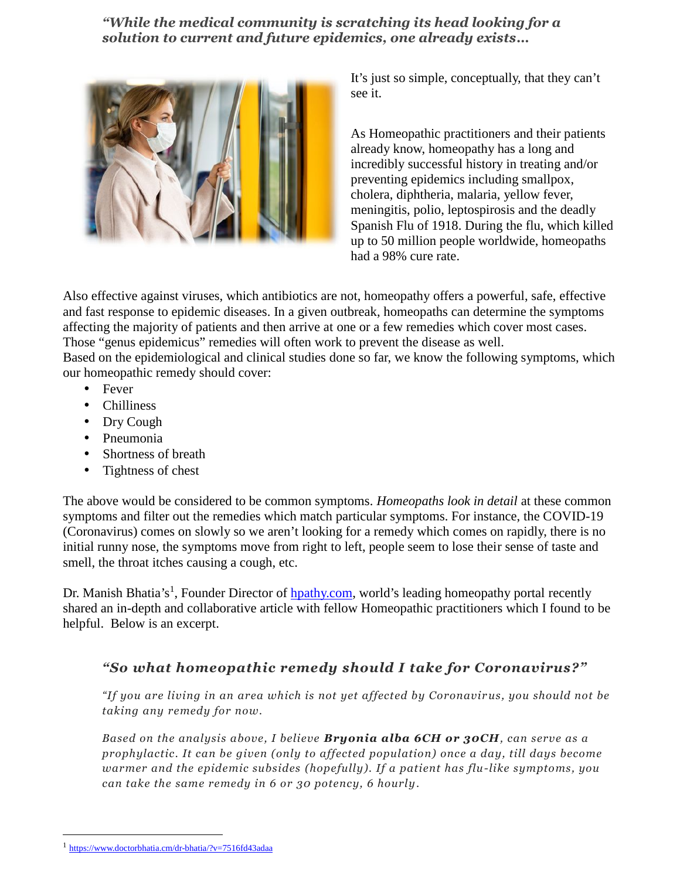*"While the medical community is scratching its head looking for a solution to current and future epidemics, one already exists…*



It's just so simple, conceptually, that they can't see it.

As Homeopathic practitioners and their patients already know, homeopathy has a long and incredibly successful history in treating and/or preventing epidemics including smallpox, cholera, diphtheria, malaria, yellow fever, meningitis, polio, leptospirosis and the deadly Spanish Flu of 1918. During the flu, which killed up to 50 million people worldwide, homeopaths had a 98% cure rate.

Also effective against viruses, which antibiotics are not, homeopathy offers a powerful, safe, effective and fast response to epidemic diseases. In a given outbreak, homeopaths can determine the symptoms affecting the majority of patients and then arrive at one or a few remedies which cover most cases. Those "genus epidemicus" remedies will often work to prevent the disease as well.

Based on the epidemiological and clinical studies done so far, we know the following symptoms, which our homeopathic remedy should cover:

- Fever
- Chilliness
- Dry Cough
- Pneumonia
- Shortness of breath
- Tightness of chest

The above would be considered to be common symptoms. *Homeopaths look in detail* at these common symptoms and filter out the remedies which match particular symptoms. For instance, the COVID-19 (Coronavirus) comes on slowly so we aren't looking for a remedy which comes on rapidly, there is no initial runny nose, the symptoms move from right to left, people seem to lose their sense of taste and smell, the throat itches causing a cough, etc.

Dr. Manish Bhatia's<sup>1</sup>, Founder Director of *hpathy.com*, world's leading homeopathy portal recently shared an in-depth and collaborative article with fellow Homeopathic practitioners which I found to be helpful. Below is an excerpt.

## *"So what homeopathic remedy should I take for Coronavirus?"*

*"If you are living in an area which is not yet affected by Coronavirus, you should not be taking any remedy for now.*

*Based on the analysis above, I believe Bryonia alba 6CH or 30CH, can serve as a prophylactic. It can be given (only to affected population) once a day, till days become warmer and the epidemic subsides (hopefully). If a patient has flu-like symptoms, you can take the same remedy in 6 or 30 potency, 6 hourly*.

<sup>1</sup> https://www.doctorbhatia.cm/dr-bhatia/?v=7516fd43adaa